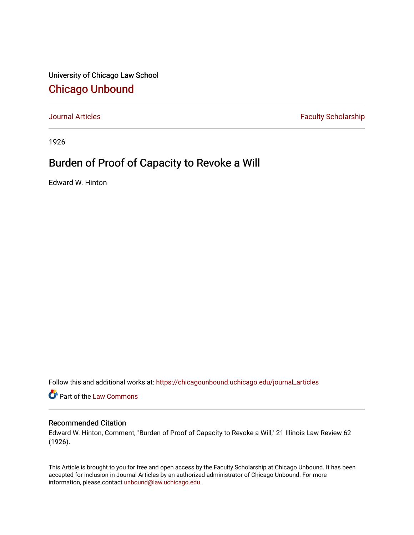University of Chicago Law School [Chicago Unbound](https://chicagounbound.uchicago.edu/)

[Journal Articles](https://chicagounbound.uchicago.edu/journal_articles) **Faculty Scholarship Faculty Scholarship** 

1926

## Burden of Proof of Capacity to Revoke a Will

Edward W. Hinton

Follow this and additional works at: [https://chicagounbound.uchicago.edu/journal\\_articles](https://chicagounbound.uchicago.edu/journal_articles?utm_source=chicagounbound.uchicago.edu%2Fjournal_articles%2F8978&utm_medium=PDF&utm_campaign=PDFCoverPages) 

Part of the [Law Commons](http://network.bepress.com/hgg/discipline/578?utm_source=chicagounbound.uchicago.edu%2Fjournal_articles%2F8978&utm_medium=PDF&utm_campaign=PDFCoverPages)

## Recommended Citation

Edward W. Hinton, Comment, "Burden of Proof of Capacity to Revoke a Will," 21 Illinois Law Review 62 (1926).

This Article is brought to you for free and open access by the Faculty Scholarship at Chicago Unbound. It has been accepted for inclusion in Journal Articles by an authorized administrator of Chicago Unbound. For more information, please contact [unbound@law.uchicago.edu](mailto:unbound@law.uchicago.edu).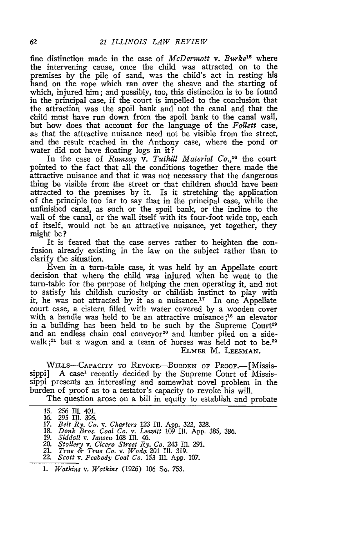fine distinction made in the case of *McDermott v. Burke15* where the intervening cause, once the child was attracted on to the premises **by** the pile of sand, was the child's act in resting his hand on the rope which ran over the sheave and the starting of which, injured him; and possibly, too, this distinction is to be found in the principal case, if the court is impelled to the conclusion that the attraction was the spoil bank and not the canal and that the child must have run down from the spoil bank to the canal wall, but how does that account for the language of the *Follett* case, as that the attractive nuisance need not be visible from the street, and the result reached in the Anthony case, where the pond or water did not have floating logs in it?

In the case of *Ramsay v. Tuthill Material Co.*,<sup>16</sup> the court pointed to the fact that all the conditions together there made the attractive nuisance and that it was not necessary that the dangerous thing be visible from the street or that children should have been attracted to the premises by it. Is it stretching the application of the principle too far to say that in the principal case, while the unfinished canal, as such or the spoil bank, or the incline to the wall of the canal, or the wall itself with its four-foot wide top, each of itself, would not be an attractive nuisance, yet together, they might be **?**

It is feared that the case serves rather to heighten the confusion already existing in the law on the subject rather than to clarify the situation.

Even in a turn-table case, it was held by an Appellate court decision that where the child was injured when he went to the turn-table for the purpose of helping the men operating it, and not to satisfy his childish curiosity or childish instinct to play with it, he was not attracted by it as a nuisance.<sup>17</sup> In one Appellate court case, a cistern filled with water covered by a wooden cover with a handle was held to be an attractive nuisance;<sup>18</sup> an elevator in a building has been held to be such by the Supreme Court<sup>19</sup> and an endless chain coal conveyor<sup>20</sup> and lumber piled on a sidewalk;<sup>21</sup> but a wagon and a team of horses was held not to be.<sup>22</sup> ELMER M. **LEESMAN.**

WILLS-CAPACITY TO REVOKE-BURDEN OF PROOF.---[Mississippi] A case<sup>1</sup> recently decided by the Supreme Court of Mississippi presents an interesting and somewhat novel problem in the burden of proof as to a testator's capacity to revoke his will.

The question arose on a bill in equity to establish and probate

- **17.** *Belt Ry. Co. v. Charters* **123 I11. App. 322,** 328. **18.** *Donk Bros. Coal Co. v. Leavitt* 109 Il1. **App. 385, 386.**
- 
- *19. Siddall v. Jansen.* 168 Ili. 46.
- *20. Stollery v. Cicero Street Ry. Co.* 243 Il. **291.** 21. *True & True Co. v. Woda* 201 I1. **319.**
- 22. *Scott v. Peabody Coal Co.* **153 111. App. 107.**
- 
- **1.** *Watkins v. Watkins* **(1926) 106** So. **753.**

<sup>15. 256</sup> II 401. **16. 295** Ill. *396.*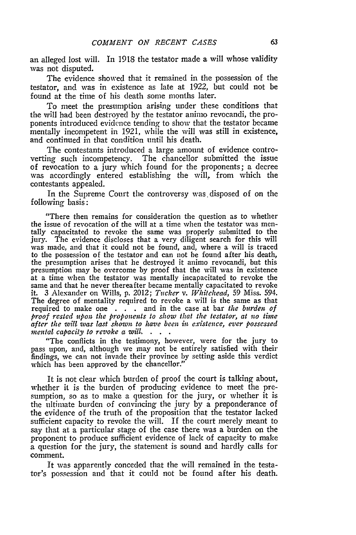an alleged lost will. In 1918 the testator made a will whose validity was not disputed.

The evidence showed that it remained in the possession of the testator, and was in existence as late at 1922, but could not be found at the time of his death some months later.

To meet the presumption arising under these conditions that the will had been destroyed by the testator animo revocandi, the proponents introduced evidence tending to show that the testator became mentally incompetent in 1921, while the will was still in existence, and continued in that condition until his death.

The contestants introduced a large amount of evidence controverting such incompetency. The chancellor submitted the issue of revocation to a jury which found for the proponents; a decree was accordingly entered establishing the will, from which the contestants appealed.

In the Supreme Court the controversy was disposed of on the following basis:

"There then remains for consideration the question as to whether the issue of revocation of the will at a time when the testator was mentally capacitated to revoke the same was properly submitted to the jury. The evidence discloses that a very diligent search for this will was made, and that it could not be found, and, where a will is traced to the possession of the testator and can not be found after his death, the presumption arises that he destroyed it animo revocandi, but this presumption may be overcome by proof that the will was in existence at a time when the testator was mentally incapacitated to revoke the same and that he never thereafter became mentally capacitated to revoke it. 3 Alexander on Wills, **p.** 2012; *Tucker v. Whitehead,* 59 Miss. 594. The degree of mentality required to revoke a will is the same as that required to make one . . . and in the case at bar *the burden of proof rested upon the proponents to show that the testator, at no tine after the will was last shown to have been in existence, ever possessed mental capacity to revoke a will.*  $\ddot{\phantom{a}}$ 

"The conflicts in the testimony, however, were for the jury to pass upon, and, although we may not be entirely satisfied with their findings, we can not invade their province by setting aside this verdict which has been approved by the chancellor."

It is not clear which burden of proof the court is talking about, whether it is the burden of producing evidence to meet the presumption, so as to make a question for the jury, or whether it is the ultimate burden of convincing the jury **by** a preponderance of the evidence of the truth of the proposition that the testator lacked sufficient capacity to revoke the will. If the court merely meant to say that at a particular stage of the case there was a burden on the proponent to produce sufficient evidence of lack of capacity to make a question for the jury, the statement is sound and hardly calls for comment.

It was apparently conceded that the will remained in the testator's possession and that it could not be found after his death.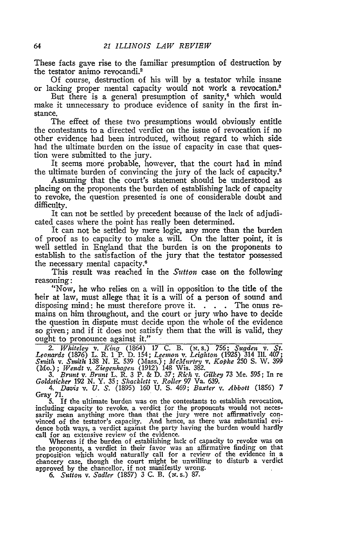These facts gave rise to the familiar presumption of destruction by the testator animo revocandi.<sup>2</sup>

Of course, destruction of his will by a testator while insane or lacking proper mental capacity would not work a revocation.<sup>8</sup>

But there is a general presumption of sanity, $4$  which would make it unnecessary to produce evidence of sanity in the first instance.

The effect of these two presumptions would obviously entitle the contestants to a directed verdict on the issue of revocation if no other evidence had been introduced, without regard to which side had the ultimate burden on the issue of capacity in case that question were submitted to the jury.

It seems more probable, however, that the court had in mind the ultimate burden of convincing the jury of the lack of capacity.<sup>5</sup>

Assuming that the court's statement should be understood as placing on the proponents the burden of establishing lack of capacity to revoke, the question presented is one of considerable doubt and difficulty.

It can not be settled by precedent because of the lack of adjudicated cases where the point has really been determined.

It can not be settled by mere logic, any more than the burden of proof as to capacity to make a will. On the latter point, it is well settled in England that the burden is on the proponents to establish to the satisfaction of the jury that the testator possessed the necessary mental capacity.<sup>6</sup>

This result was reached in the *Sutton* case on the following reasoning:

"Now, he who relies on a will in opposition to the title of the heir at law, must allege that it is a will of a person of sound and disposing mind: he must therefore prove it. **. . .** The onus remains on him throughout, and the court or jury who have to decide the question in dispute must decide upon the whole of the evidence so given; and if it does not satisfy them that the will is valid, they ought to pronounce against it."

2. Whiteley v. King (1864) 17 C. B. (N.S.) 756; Sugden v. St.<br>Leonards (1876) L. R. 1 P. D. 154; Leemon v. Leighton (1925) 314 Ill. 407;<br>Smith v. Smith 138 N. E. 539 (Mass.); McMurtry v. Kopke 250 S. W. 399<br>(Mo.); Wendt v.

3. Brunt v. Brunt L. R. 3 P. & D. 37; Rich v. Gilkey 73 Me. 595; In re Goldsticker 192 N. Y. 35; Shacklett v. Roller 97 Va. 639.<br>4. Davis v. U. S. (1895) 160 U. S. 469; Baxter v. Abbott (1856) 7

Gray 71.

5. If the ultimate burden was on the contestants to establish revocation, including capacity to revoke, a verdict for the proponents would not necessarily mean anything more than that the jury were not affirmatively con-<br>vinced of the testator's capacity. And hence, as there was substantial evidence both ways, a verdict against the party having the burden would hardly call for an extensive review of the evidence.

Whereas if the burden of establishing lack of capacity to revoke was on the proponents, a verdict in their favor was an affirmative finding on that the proponents, a verdict in their favor was an affirmative finding on that proposition which would naturally call for a review of the evidence in a chancery case, though the court might be unwilling to disturb a verdict approved by the chancellor, if not manifestly wrong.<br>
6. Sutton v. Sadler (1857) 3 C. B. (x. s.) 87.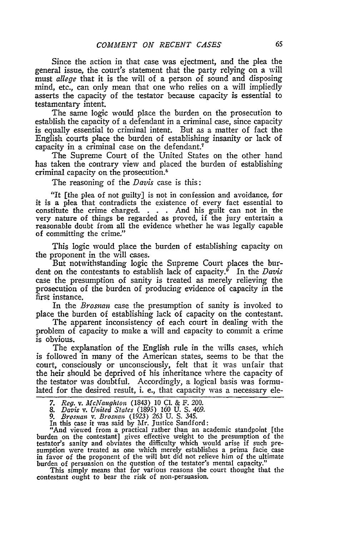Since the action in that case was ejectment, and the plea the general issue, the court's statement that the party relying on a will must *allege* that it is the will of a person of sound and disposing mind, etc., can only mean that one who relies on a will impliedly asserts the capacity of the testator because capacity is essential to testamentary intent.

The same logic would place the burden on the prosecution to establish the capacity of a defendant in a criminal case, since capacity is equally essential to criminal intent. But as a matter of fact the English courts place the burden of establishing insanity or lack of capacity in a criminal case on the defendant.<sup>7</sup>

The Supreme Court of the United States on the other hand has taken the contrary view and placed the burden of establishing criminal capacity on the prosecution.8

The reasoning of the *Davis* case is this:

"It [the plea of not guilty] is not in confession and avoidance, for it is a plea that contradicts the existence of every fact essential to constitute the crime charged. . . **.** And his guilt can not in the very nature of things be regarded as proved, if the jury entertain a reasonable doubt from all the evidence whether he was legally capable of committing the crime."

This logic would place the burden of establishing capacity on the proponent in the will cases.

But notwithstanding logic the Supreme Court places the burdent on the contestants to establish lack of capacity.9 In the *Davis* case the presumption of sanity is treated as merely relieving the prosecution of the burden of producing evidence of capacity in the first instance.

In the *Brosnan* case the presumption of sanity is invoked to place the burden of establishing lack of capacity on the contestant.

The apparent inconsistency of each court in dealing with the problem of capacity to make a will and capacity to commit a crime is obvious.

The explanation of the English rule in the wills cases, which is followed in many of the American states, seems to be that the court, consciously or unconsciously, felt that it was unfair that the heir should be deprived of his inheritance where the capacity of the testator was doubtful. Accordingly, a logical basis was formulated for the desired result, i. e., that capacity was a necessary ele-

- *7. Reg. v. McNaughton* (1843) 10 **Cl.** & F. 200.
- *8. Davis v. United Stales* (1895) 160 U. S. 469.
- *9. Brosnan v. Brosnan (1923)* 263 U. S. 345.
- 

In this case it was said by Mr. Justice Sandford: "And viewed from a practical rather than an academic standpoint [the burden on the contestant] gives effective weight to the presumption of the testator's sanity and obviates the difficulty which would arise if such pre- sumption were treated as one which merely establishes a prima facie case sumption were treated as one which merely establishes a prima facie case in favor of the proponent of the will but did not relieve him of the ultimate

burden of persuasion on the question of the testator's mental capacity." This simply means that for various reasons the court thought that the contestant ought to bear the risk of non-persuasion.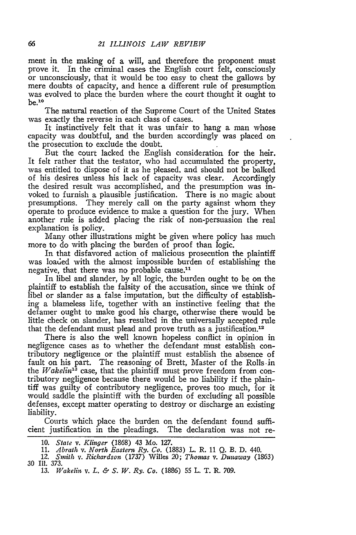ment in the making of a will, and therefore the proponent must prove it. In the criminal cases the English court felt, consciously or unconsciously, that it would be too easy to cheat the gallows by mere doubts of capacity, and hence a different rule of presumption was evolved to place the burden where the court thought it ought to  $be.$ <sup>10</sup>

The natural reaction of the Supreme Court of the United States was exactly the reverse in each class of cases.

It instinctively felt that it was unfair to hang a man whose capacity was doubtful, and the burden accordingly was placed on the prosecution to exclude the doubt.

But the court lacked the English consideration for the heir. It felt rather that the testator, who had accumulated the property, was entitled to dispose of it as he pleased. and should not be balked of his desires unless his lack of capacity was clear. Accordingly the desired result was accomplished, and the presumption was invoked to furnish a plausible justification. There is no magic about presumptions. They merely call on the party against whom they operate to produce evidence to make a question for the jury. When another rule is added placing the risk of non-persuasion the real explanation is policy.

Many other illustrations might be given where policy has much more to do with placing the burden of proof than logic.

In that disfavored action of malicious prosecution the plaintiff was loaded with the almost impossible burden of establishing the negative, that there was no probable cause.<sup>11</sup>

In libel and slander, by all logic, the burden ought to be on the plaintiff to establish the falsity of the accusation, since we think of libel or slander as a false imputation, but the difficulty of establishing a blameless life, together with an instinctive feeling that the defamer ought to make good his charge, otherwise there would be little check on slander, has resulted in the universally accepted rule that the defendant must plead and prove truth as a justification.<sup>12</sup>

There is also the well known hopeless conflict in opinion in negligence cases as to whether the defendant must establish contributory negligence or the plaintiff must establish the absence of fault on his part. The reasoning of Brett, Master of the Rolls.in the *Wakelin"3* case, that the plaintiff must prove freedom from contributory negligence because there would be no liability if the plaintiff was guilty of contributory negligence, proves too much, for it would saddle the plaintiff with the burden of excluding all possible defenses, except matter operating to destroy or discharge an existing liability.

Courts which place the burden on the defendant found sufficient justification in the pleadings. The declaration was not re-

**10.** *State v. Klinger* (1868) 43 Mo. 127.

13. *Wakelin v. L. & S. W. Ry. Co.* (1886) 55 L. T. R. 709.

<sup>11.</sup> *Abrath v. North Eastern Ry. Co.* (1883) L. R. 11 Q. B. D. 440.<br>12. *Smith v. Richardson* (1737) Willes 20; Thomas v. Dunaway (18

*<sup>12.</sup> Smith v. Richardson* (1737) Willes 20; *Thomas v. Dunaway* (1863) 30 Ill. 373.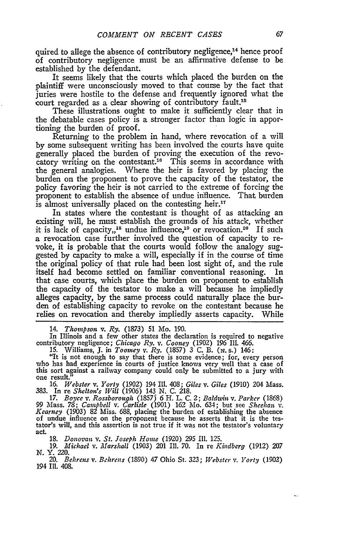quired to allege the absence of contributory negligence,<sup>14</sup> hence proof of contributory negligence must be an affirmative defense to be established by the defendant.

It seems likely that the courts which placed the burden on the plaintiff were unconsciously moved to that course by the fact that juries were hostile to the defense and frequently ignored what the court regarded as a clear showing of contributory fault.<sup>15</sup>

These illustrations ought to make it sufficiently clear that in the debatable cases policy is a stronger factor than logic in apportioning the burden of proof.

Returning to the problem in hand, where revocation of a will by some subsequent writing has been involved the courts have quite generally placed the burden of proving the execution of the revocatory writing on the contestant.<sup>16</sup> This seems in accordance with the general analogies. Where the heir is favored by placing the burden on the proponent to prove the capacity of the testator, the policy favoring the heir is not carried to the extreme of forcing the proponent to establish the absence of undue influence. That burden is almost universally placed on the contesting heir.'<sup>7</sup>

In states where the contestant is thought of as attacking an existing will, he must establish the grounds of his attack, whether it is lack of capacity,  $18$  undue influence,  $19$  or revocation.  $20$  If such a revocation case further involved the question of capacity to revoke, it is probable that the courts would follow the analogy suggested by capacity to make a will, especially if in the course of time the original policy of that rule had been lost sight of, and the rule itself had become settled on familiar conventional reasoning. In that case courts, which place the burden on proponent to establish the capacity of the testator to make a will because he impliedly alleges capacity, by the same process could naturally place the burden of establishing capacity to revoke on the contestant because he relies on revocation and thereby impliedly asserts capacity. While

14. *Thompson* v. *Ry.* (1873) **51** Mo. 190.

In Illinois and a few other states the declaration is required to negative contributory negligence; *Chicago Ry. v. Cooney* (1902) 196 Ill. 466.

15. Williams, **J.** in *Toomey v. Ry.* (1857) 3 C. B. (w. s.) 146:

"It is not enough to say that there is some evidence; for, every person who has had experience in courts of justice knows very well that a case of this sort against a railway company could only be submitted to a jury with one result."

16. *Webster v. Yorty* (1902) 194 **I1.** 408; *Giles v. Giles* (1910) 204 Mass. 383. In re *Shelton's Will* (1906) 143 N. C. 218. *17. Boyce v. Rossborough* (18573 6 H. L. C. 2; *Baldwizn v. Parker* (1868)

99 Mass. 78; *Campbell v. Carlisle* (1901) 162 Mo. 634; but see *Sheehan v. Kearney* (1903) 82 Miss. 688, placing the burden of establishing the absence of undue influence on the proponent because he asserts that it is the tes-tator's will, and this assertion is not true if it was not the testator's voluntary act.

**18.** *Donovan v. St. Joseph Home* (1920) **295** Ill. 125.

19. *Michael v. Marshall* (1903) 201 Ill. 70. In re *Kindberg* (1912) **207** N. Y. 220.

20. *Behrens v. Behrens* (1890) 47 Ohio St. 323; *Webster* v. *Yorty* (1902) 194 Ill. 408.

۰.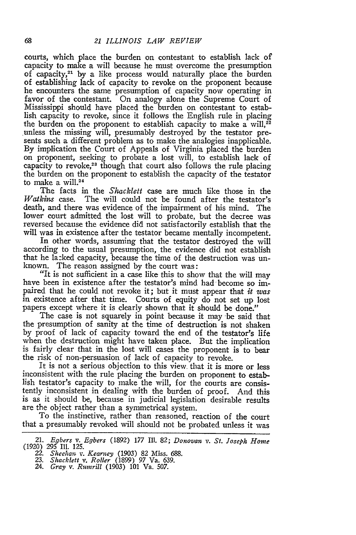courts, which place the burden on contestant to establish lack of capacity to make a will because he must overcome the presumption of capacity,<sup>21</sup> by a like process would naturally place the burden of establishing lack of capacity to revoke on the proponent because he encounters the same presumption of capacity now operating in favor of the contestant. On analogy alone the Supreme Court of Mississippi should have placed the burden on contestant to establish capacity to revoke, since it follows the English rule in placing the burden on the proponent to establish capacity to make a will, $^{22}$ unless the missing will, presumably destroyed by the testator presents such a different problem as to make the analogies inapplicable. By implication the Court of Appeals of Virginia placed the burden on proponent, seeking to probate a lost will, to establish lack of capacity to revoke,<sup>23</sup> though that court also follows the rule placing the burden on the proponent to establish the capacity of the testator to make a will. $24$ 

The facts in the *Shacklett* case are much like those in the Watkins case. The will could not be found after the testator's death, and there was evidence of the impairment of his mind. The lower court admitted the lost will to probate, but the decree was reversed because the evidence did not satisfactorily establish that the will was in existence after the testator became mentally incompetent.

In other words, assuming that the testator destroyed the will according to the usual presumption, the evidence did not establish that he la:ked capacity, because the time of the destruction was unknown. The reason assigned by the court was:

"It is not sufficient in a case like this to show that the will may have been in existence after the testator's mind had-become so impaired that he could not revoke it; but it must appear that *it was* in existence after that time. Courts of equity do not set up lost papers except where it is clearly shown that it should be done."

The case is not squarely in point because it may -be said that the presumption of sanity at the time of destruction is not shaken by proof of lack of capacity toward the end of the testator's life when the destruction might have taken place. But the implication is fairly clear that in the lost will cases the proponent is to bear the risk of non-persuasion of lack of capacity to revoke.

It is not a serious objection to this view that it is more or less inconsistent with the rule placing the burden on proponent to establish testator's capacity to make the will, for the courts are consistently inconsistent in dealing with the burden of proof. And this is as it should be, because in judicial legislation desirable results are the object rather than a symmetrical system. To the instinctive, rather than reasoned, reaction of the court

that a presumably revoked will should not be probated unless it was

<sup>21.</sup> *Egbers v. Egbers* (1892) **177** Ill. *82; Donovan v. St. Joseph Home* (1920) 295 Ill. 125. *22. Sheehan v. Kearney* (1903) 82 Miss. 688. 23. *Shacklett v. Roller* (1899) 97 Va. 639.

*<sup>24.</sup> Gray v. Rumnrill* (1903) 101 Va. **507.**